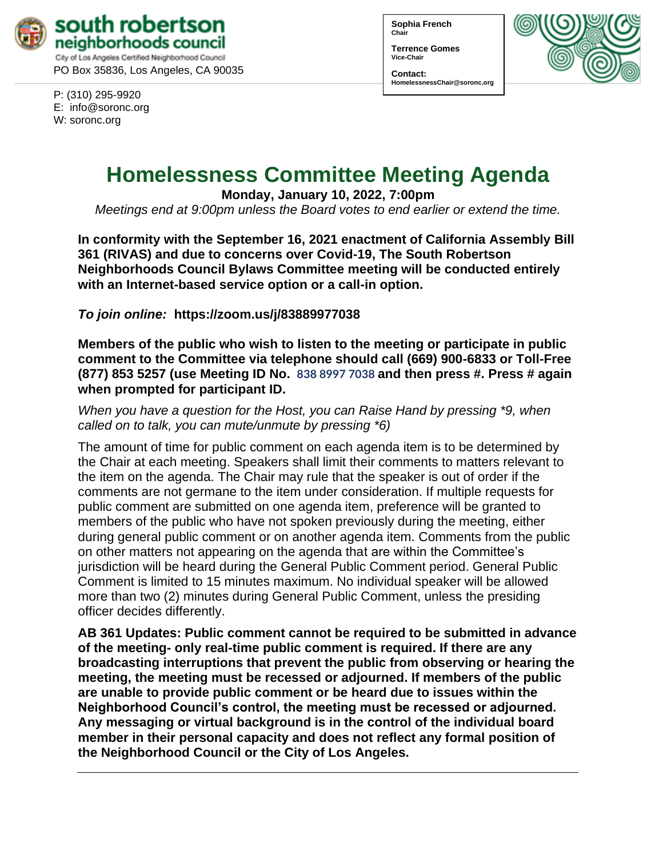

P: (310) 295-9920 E: [info@soronc.org](mailto:info@soronc.org) W: soronc.org

**Sophia French Chair**

**Terrence Gomes Vice-Chair**

**Contact: HomelessnessChair@soronc.org**



# **Homelessness Committee Meeting Agenda**

**Monday, January 10, 2022, 7:00pm**

*Meetings end at 9:00pm unless the Board votes to end earlier or extend the time.*

**In conformity with the September 16, 2021 enactment of California Assembly Bill 361 (RIVAS) and due to concerns over Covid-19, The South Robertson Neighborhoods Council Bylaws Committee meeting will be conducted entirely with an Internet-based service option or a call-in option.**

*To join online:* **[https://zoom.us/j/](https://zoom.us/j/83889977038)83889977038** 

**Members of the public who wish to listen to the meeting or participate in public comment to the Committee via telephone should call (669) 900-6833 or Toll-Free (877) 853 5257 (use Meeting ID No. 838 8997 7038 and then press #. Press # again when prompted for participant ID.** 

*When you have a question for the Host, you can Raise Hand by pressing \*9, when called on to talk, you can mute/unmute by pressing \*6)* 

The amount of time for public comment on each agenda item is to be determined by the Chair at each meeting. Speakers shall limit their comments to matters relevant to the item on the agenda. The Chair may rule that the speaker is out of order if the comments are not germane to the item under consideration. If multiple requests for public comment are submitted on one agenda item, preference will be granted to members of the public who have not spoken previously during the meeting, either during general public comment or on another agenda item. Comments from the public on other matters not appearing on the agenda that are within the Committee's jurisdiction will be heard during the General Public Comment period. General Public Comment is limited to 15 minutes maximum. No individual speaker will be allowed more than two (2) minutes during General Public Comment, unless the presiding officer decides differently.

**AB 361 Updates: Public comment cannot be required to be submitted in advance of the meeting- only real-time public comment is required. If there are any broadcasting interruptions that prevent the public from observing or hearing the meeting, the meeting must be recessed or adjourned. If members of the public are unable to provide public comment or be heard due to issues within the Neighborhood Council's control, the meeting must be recessed or adjourned. Any messaging or virtual background is in the control of the individual board member in their personal capacity and does not reflect any formal position of the Neighborhood Council or the City of Los Angeles.**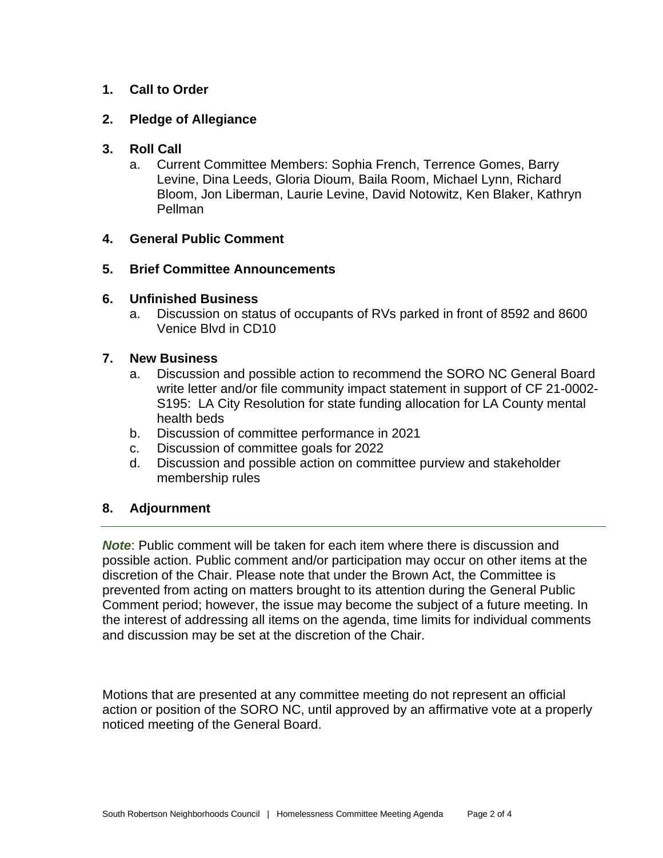## **1. Call to Order**

## **2. Pledge of Allegiance**

### **3. Roll Call**

a. Current Committee Members: Sophia French, Terrence Gomes, Barry Levine, Dina Leeds, Gloria Dioum, Baila Room, Michael Lynn, Richard Bloom, Jon Liberman, Laurie Levine, David Notowitz, Ken Blaker, Kathryn Pellman

### **4. General Public Comment**

### **5. Brief Committee Announcements**

### **6. Unfinished Business**

a. Discussion on status of occupants of RVs parked in front of 8592 and 8600 Venice Blvd in CD10

#### **7. New Business**

- a. Discussion and possible action to recommend the SORO NC General Board write letter and/or file community impact statement in support of [CF 21-0002-](https://cityclerk.lacity.org/lacityclerkconnect/index.cfm?fa=ccfi.viewrecord&cfnumber=21-0002-S195) [S195:](https://cityclerk.lacity.org/lacityclerkconnect/index.cfm?fa=ccfi.viewrecord&cfnumber=21-0002-S195) LA City Resolution for state funding allocation for LA County mental health beds
- b. Discussion of committee performance in 2021
- c. Discussion of committee goals for 2022
- d. Discussion and possible action on committee purview and stakeholder membership rules

## **8. Adjournment**

*Note*: Public comment will be taken for each item where there is discussion and possible action. Public comment and/or participation may occur on other items at the discretion of the Chair. Please note that under the Brown Act, the Committee is prevented from acting on matters brought to its attention during the General Public Comment period; however, the issue may become the subject of a future meeting. In the interest of addressing all items on the agenda, time limits for individual comments and discussion may be set at the discretion of the Chair.

Motions that are presented at any committee meeting do not represent an official action or position of the SORO NC, until approved by an affirmative vote at a properly noticed meeting of the General Board.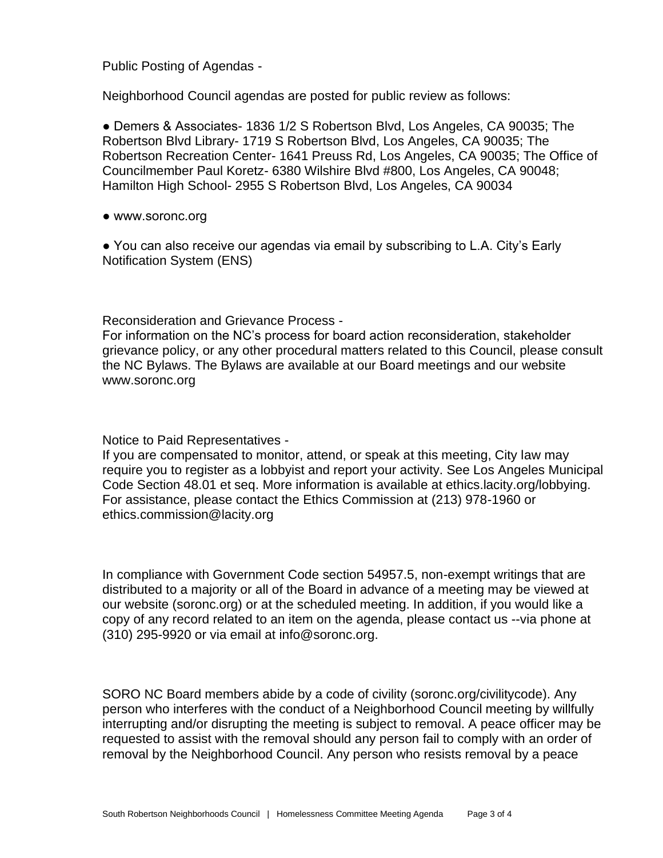Public Posting of Agendas -

Neighborhood Council agendas are posted for public review as follows:

● Demers & Associates- 1836 1/2 S Robertson Blvd, Los Angeles, CA 90035; The Robertson Blvd Library- 1719 S Robertson Blvd, Los Angeles, CA 90035; The Robertson Recreation Center- 1641 Preuss Rd, Los Angeles, CA 90035; The Office of Councilmember Paul Koretz- 6380 Wilshire Blvd #800, Los Angeles, CA 90048; Hamilton High School- 2955 S Robertson Blvd, Los Angeles, CA 90034

● www.soronc.org

● You can also receive our agendas via email by subscribing to L.A. City's Early Notification System (ENS)

Reconsideration and Grievance Process -

For information on the NC's process for board action reconsideration, stakeholder grievance policy, or any other procedural matters related to this Council, please consult the NC Bylaws. The Bylaws are available at our Board meetings and our website www.soronc.org

Notice to Paid Representatives -

If you are compensated to monitor, attend, or speak at this meeting, City law may require you to register as a lobbyist and report your activity. See Los Angeles Municipal Code Section 48.01 et seq. More information is available at ethics.lacity.org/lobbying. For assistance, please contact the Ethics Commission at (213) 978-1960 or ethics.commission@lacity.org

In compliance with Government Code section 54957.5, non-exempt writings that are distributed to a majority or all of the Board in advance of a meeting may be viewed at our website (soronc.org) or at the scheduled meeting. In addition, if you would like a copy of any record related to an item on the agenda, please contact us --via phone at (310) 295-9920 or via email at info@soronc.org.

SORO NC Board members abide by a code of civility (soronc.org/civilitycode). Any person who interferes with the conduct of a Neighborhood Council meeting by willfully interrupting and/or disrupting the meeting is subject to removal. A peace officer may be requested to assist with the removal should any person fail to comply with an order of removal by the Neighborhood Council. Any person who resists removal by a peace